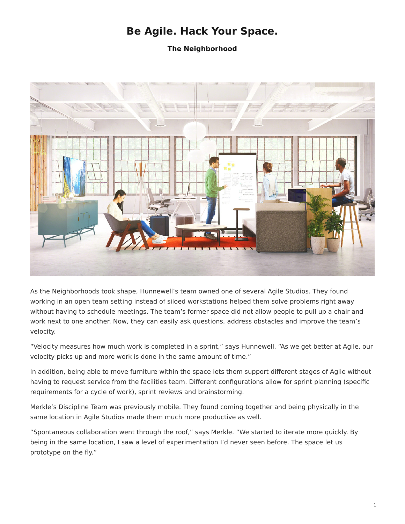## **Be Agile. Hack Your Space.**

**The Neighborhood**

<span id="page-0-0"></span>

As the Neighborhoods took shape, Hunnewell's team owned one of several Agile Studios. They found working in an open team setting instead of siloed workstations helped them solve problems right away without having to schedule meetings. The team's former space did not allow people to pull up a chair and work next to one another. Now, they can easily ask questions, address obstacles and improve the team's velocity.

"Velocity measures how much work is completed in a sprint," says Hunnewell. "As we get better at Agile, our velocity picks up and more work is done in the same amount of time."

In addition, being able to move furniture within the space lets them support different stages of Agile without having to request service from the facilities team. Different configurations allow for sprint planning (specific requirements for a cycle of work), sprint reviews and brainstorming.

Merkle's Discipline Team was previously mobile. They found coming together and being physically in the same location in Agile Studios made them much more productive as well.

"Spontaneous collaboration went through the roof," says Merkle. "We started to iterate more quickly. By being in the same location, I saw a level of experimentation I'd never seen before. The space let us prototype on the fly."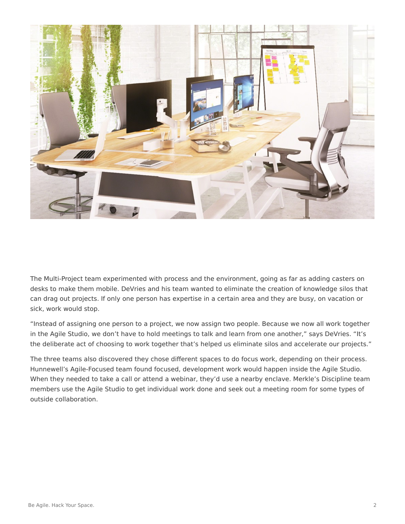

The Multi-Project team experimented with process and the environment, going as far as adding casters on desks to make them mobile. DeVries and his team wanted to eliminate the creation of knowledge silos that can drag out projects. If only one person has expertise in a certain area and they are busy, on vacation or sick, work would stop.

"Instead of assigning one person to a project, we now assign two people. Because we now all work together in the Agile Studio, we don't have to hold meetings to talk and learn from one another," says DeVries. "It's the deliberate act of choosing to work together that's helped us eliminate silos and accelerate our projects."

The three teams also discovered they chose different spaces to do focus work, depending on their process. Hunnewell's Agile-Focused team found focused, development work would happen inside the Agile Studio. When they needed to take a call or attend a webinar, they'd use a nearby enclave. Merkle's Discipline team members use the Agile Studio to get individual work done and seek out a meeting room for some types of outside collaboration.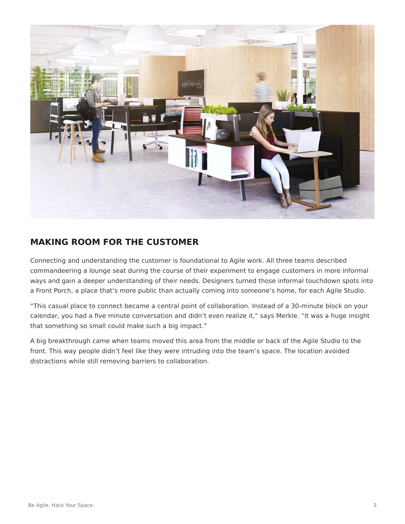

## **MAKING ROOM FOR THE CUSTOMER**

Connecting and understanding the customer is foundational to Agile work. All three teams described commandeering a lounge seat during the course of their experiment to engage customers in more informal ways and gain a deeper understanding of their needs. Designers turned those informal touchdown spots into a Front Porch, a place that's more public than actually coming into someone's home, for each Agile Studio.

"This casual place to connect became a central point of collaboration. Instead of a 30-minute block on your calendar, you had a five minute conversation and didn't even realize it," says Merkle. "It was a huge insight that something so small could make such a big impact."

A big breakthrough came when teams moved this area from the middle or back of the Agile Studio to the front. This way people didn't feel like they were intruding into the team's space. The location avoided distractions while still removing barriers to collaboration.